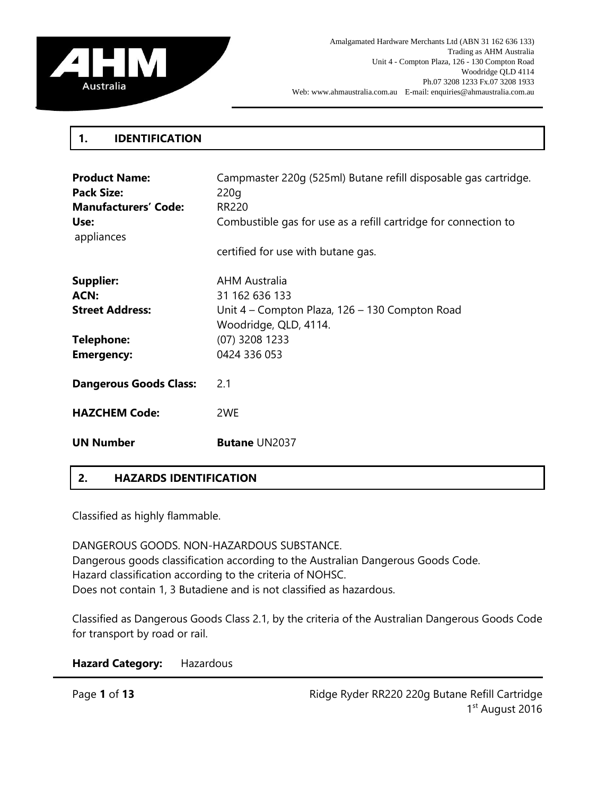

### **1. IDENTIFICATION**

| <b>Product Name:</b><br><b>Pack Size:</b><br><b>Manufacturers' Code:</b><br>Use:<br>appliances | Campmaster 220q (525ml) Butane refill disposable gas cartridge.<br>220q<br>RR220<br>Combustible gas for use as a refill cartridge for connection to<br>certified for use with butane gas. |
|------------------------------------------------------------------------------------------------|-------------------------------------------------------------------------------------------------------------------------------------------------------------------------------------------|
| <b>Supplier:</b><br>ACN:<br><b>Street Address:</b><br><b>Telephone:</b><br><b>Emergency:</b>   | AHM Australia<br>31 162 636 133<br>Unit 4 – Compton Plaza, 126 – 130 Compton Road<br>Woodridge, QLD, 4114.<br>(07) 3208 1233<br>0424 336 053                                              |
| <b>Dangerous Goods Class:</b>                                                                  | 2.1                                                                                                                                                                                       |
| <b>HAZCHEM Code:</b>                                                                           | 2WE                                                                                                                                                                                       |
| <b>UN Number</b>                                                                               | <b>Butane UN2037</b>                                                                                                                                                                      |

## **2. HAZARDS IDENTIFICATION**

Classified as highly flammable.

DANGEROUS GOODS. NON-HAZARDOUS SUBSTANCE. Dangerous goods classification according to the Australian Dangerous Goods Code. Hazard classification according to the criteria of NOHSC. Does not contain 1, 3 Butadiene and is not classified as hazardous.

Classified as Dangerous Goods Class 2.1, by the criteria of the Australian Dangerous Goods Code for transport by road or rail.

**Hazard Category:** Hazardous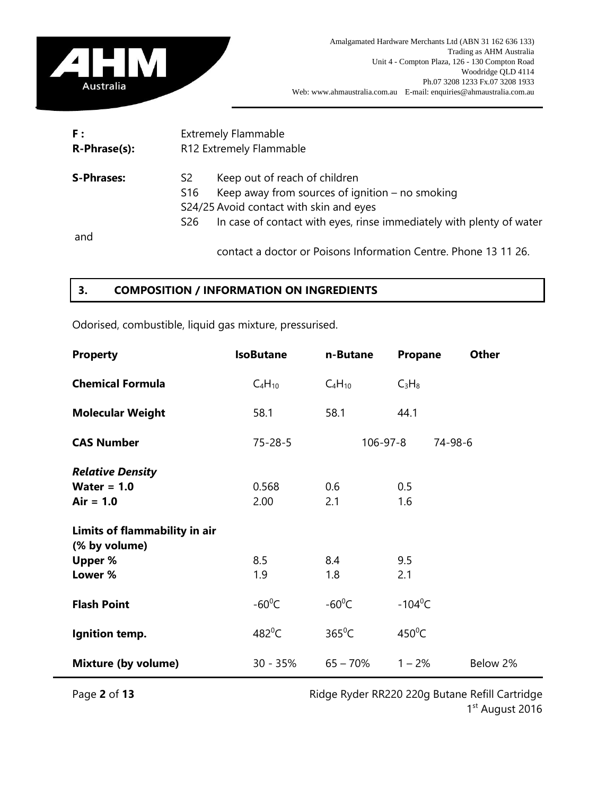

| F:                | <b>Extremely Flammable</b><br>R12 Extremely Flammable |                                                                                                                                                                                                       |  |
|-------------------|-------------------------------------------------------|-------------------------------------------------------------------------------------------------------------------------------------------------------------------------------------------------------|--|
| R-Phrase(s):      |                                                       |                                                                                                                                                                                                       |  |
| <b>S-Phrases:</b> | S2<br>S <sub>16</sub><br>S <sub>26</sub>              | Keep out of reach of children<br>Keep away from sources of ignition $-$ no smoking<br>S24/25 Avoid contact with skin and eyes<br>In case of contact with eyes, rinse immediately with plenty of water |  |
| and               |                                                       |                                                                                                                                                                                                       |  |
|                   |                                                       | contact a doctor or Poisons Information Centre. Phone 13 11 26.                                                                                                                                       |  |

## **3. COMPOSITION / INFORMATION ON INGREDIENTS**

Odorised, combustible, liquid gas mixture, pressurised.

| <b>Property</b>               | <b>IsoButane</b> | n-Butane        | <b>Other</b><br>Propane |
|-------------------------------|------------------|-----------------|-------------------------|
| <b>Chemical Formula</b>       | $C_4H_{10}$      | $C_4H_{10}$     | $C_3H_8$                |
| <b>Molecular Weight</b>       | 58.1             | 58.1            | 44.1                    |
| <b>CAS Number</b>             | $75 - 28 - 5$    | $106 - 97 - 8$  | 74-98-6                 |
| <b>Relative Density</b>       |                  |                 |                         |
| Water = $1.0$                 | 0.568            | 0.6             | 0.5                     |
| $Air = 1.0$                   | 2.00             | 2.1             | 1.6                     |
| Limits of flammability in air |                  |                 |                         |
| (% by volume)                 |                  |                 |                         |
| <b>Upper %</b>                | 8.5              | 8.4             | 9.5                     |
| Lower %                       | 1.9              | 1.8             | 2.1                     |
| <b>Flash Point</b>            | $-60^{\circ}$ C  | $-60^{\circ}$ C | $-104^{\circ}$ C        |
| Ignition temp.                | $482^{\circ}$ C  | $365^{\circ}$ C | $450^{\circ}$ C         |
| <b>Mixture (by volume)</b>    | $30 - 35%$       | $65 - 70%$      | $1 - 2%$<br>Below 2%    |

Page 2 of 13 **Page 2 of 13** Ridge Ryder RR220 220g Butane Refill Cartridge 1st August 2016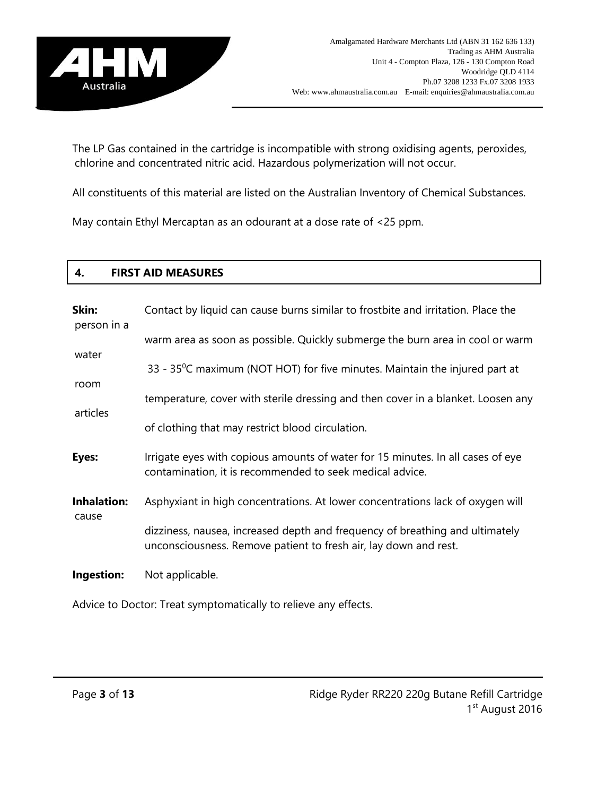

The LP Gas contained in the cartridge is incompatible with strong oxidising agents, peroxides, chlorine and concentrated nitric acid. Hazardous polymerization will not occur.

All constituents of this material are listed on the Australian Inventory of Chemical Substances.

May contain Ethyl Mercaptan as an odourant at a dose rate of <25 ppm.

### **4. FIRST AID MEASURES**

| Skin:<br>person in a        | Contact by liquid can cause burns similar to frostbite and irritation. Place the                                                                 |
|-----------------------------|--------------------------------------------------------------------------------------------------------------------------------------------------|
| water                       | warm area as soon as possible. Quickly submerge the burn area in cool or warm                                                                    |
|                             | 33 - 35°C maximum (NOT HOT) for five minutes. Maintain the injured part at                                                                       |
| room<br>articles            | temperature, cover with sterile dressing and then cover in a blanket. Loosen any                                                                 |
|                             | of clothing that may restrict blood circulation.                                                                                                 |
| Eyes:                       | Irrigate eyes with copious amounts of water for 15 minutes. In all cases of eye<br>contamination, it is recommended to seek medical advice.      |
| <b>Inhalation:</b><br>cause | Asphyxiant in high concentrations. At lower concentrations lack of oxygen will                                                                   |
|                             | dizziness, nausea, increased depth and frequency of breathing and ultimately<br>unconsciousness. Remove patient to fresh air, lay down and rest. |
| Ingestion:                  | Not applicable.                                                                                                                                  |
|                             | Advice to Doctor: Treat symptomatically to relieve any effects.                                                                                  |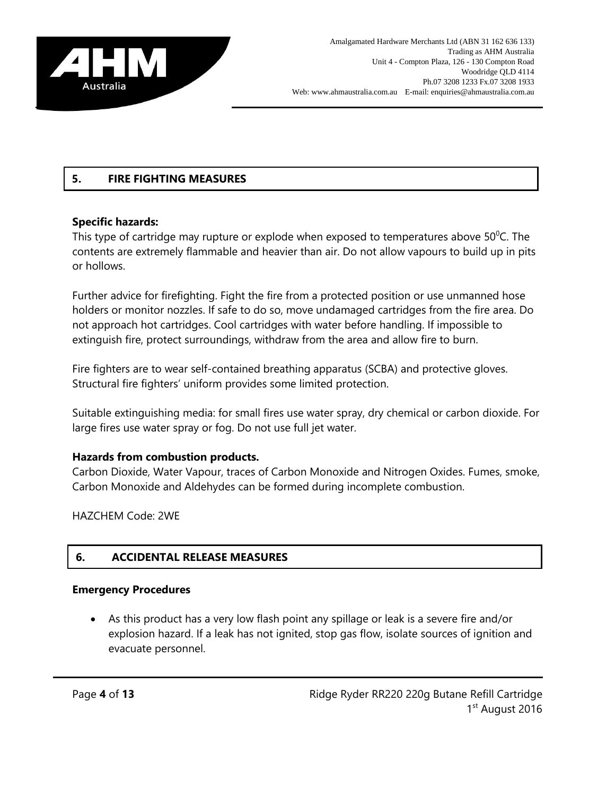

# **5. FIRE FIGHTING MEASURES**

## **Specific hazards:**

This type of cartridge may rupture or explode when exposed to temperatures above  $50^{\circ}$ C. The contents are extremely flammable and heavier than air. Do not allow vapours to build up in pits or hollows.

Further advice for firefighting. Fight the fire from a protected position or use unmanned hose holders or monitor nozzles. If safe to do so, move undamaged cartridges from the fire area. Do not approach hot cartridges. Cool cartridges with water before handling. If impossible to extinguish fire, protect surroundings, withdraw from the area and allow fire to burn.

Fire fighters are to wear self-contained breathing apparatus (SCBA) and protective gloves. Structural fire fighters' uniform provides some limited protection.

Suitable extinguishing media: for small fires use water spray, dry chemical or carbon dioxide. For large fires use water spray or fog. Do not use full jet water.

## **Hazards from combustion products.**

Carbon Dioxide, Water Vapour, traces of Carbon Monoxide and Nitrogen Oxides. Fumes, smoke, Carbon Monoxide and Aldehydes can be formed during incomplete combustion.

HAZCHEM Code: 2WE

## **6. ACCIDENTAL RELEASE MEASURES**

### **Emergency Procedures**

 As this product has a very low flash point any spillage or leak is a severe fire and/or explosion hazard. If a leak has not ignited, stop gas flow, isolate sources of ignition and evacuate personnel.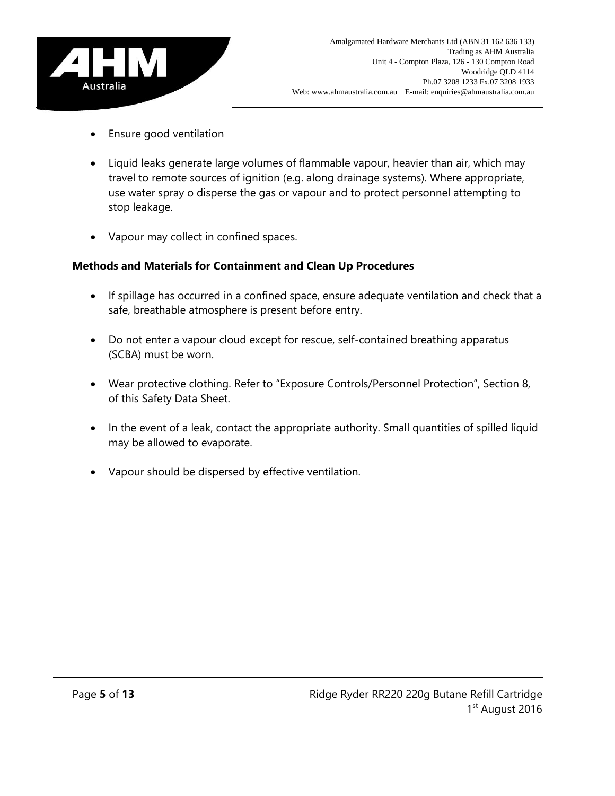

- Ensure good ventilation
- Liquid leaks generate large volumes of flammable vapour, heavier than air, which may travel to remote sources of ignition (e.g. along drainage systems). Where appropriate, use water spray o disperse the gas or vapour and to protect personnel attempting to stop leakage.
- Vapour may collect in confined spaces.

# **Methods and Materials for Containment and Clean Up Procedures**

- If spillage has occurred in a confined space, ensure adequate ventilation and check that a safe, breathable atmosphere is present before entry.
- Do not enter a vapour cloud except for rescue, self-contained breathing apparatus (SCBA) must be worn.
- Wear protective clothing. Refer to "Exposure Controls/Personnel Protection", Section 8, of this Safety Data Sheet.
- In the event of a leak, contact the appropriate authority. Small quantities of spilled liquid may be allowed to evaporate.
- Vapour should be dispersed by effective ventilation.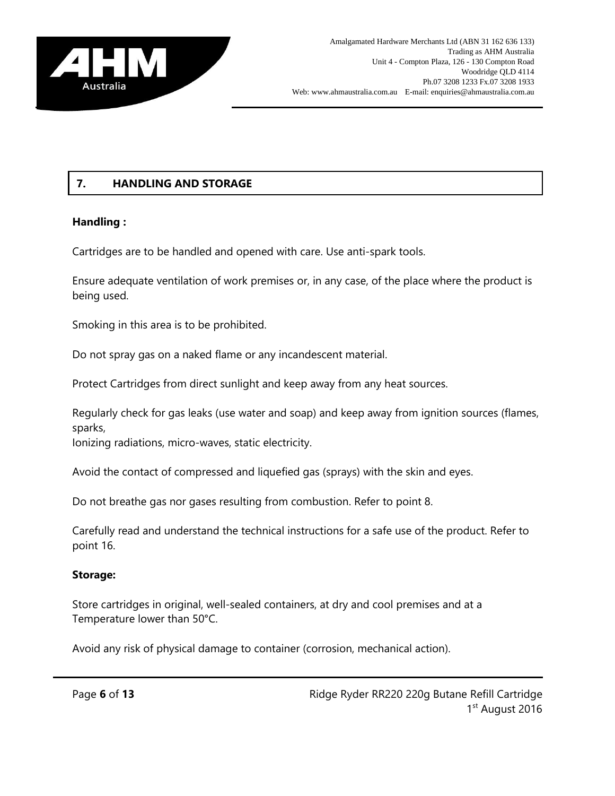

# **7. HANDLING AND STORAGE**

# **Handling :**

Cartridges are to be handled and opened with care. Use anti-spark tools.

Ensure adequate ventilation of work premises or, in any case, of the place where the product is being used.

Smoking in this area is to be prohibited.

Do not spray gas on a naked flame or any incandescent material.

Protect Cartridges from direct sunlight and keep away from any heat sources.

Regularly check for gas leaks (use water and soap) and keep away from ignition sources (flames, sparks,

Ionizing radiations, micro-waves, static electricity.

Avoid the contact of compressed and liquefied gas (sprays) with the skin and eyes.

Do not breathe gas nor gases resulting from combustion. Refer to point 8.

Carefully read and understand the technical instructions for a safe use of the product. Refer to point 16.

## **Storage:**

Store cartridges in original, well-sealed containers, at dry and cool premises and at a Temperature lower than 50°C.

Avoid any risk of physical damage to container (corrosion, mechanical action).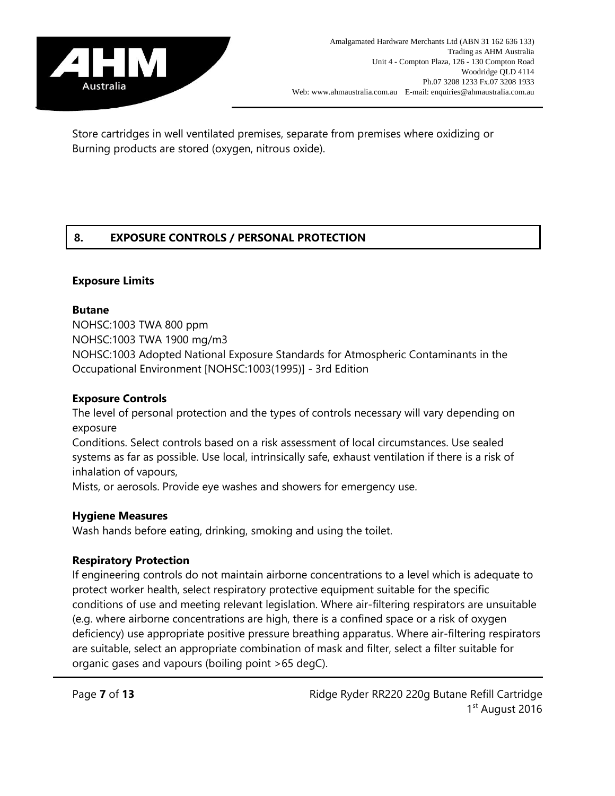

Store cartridges in well ventilated premises, separate from premises where oxidizing or Burning products are stored (oxygen, nitrous oxide).

# **8. EXPOSURE CONTROLS / PERSONAL PROTECTION**

## **Exposure Limits**

### **Butane**

NOHSC:1003 TWA 800 ppm NOHSC:1003 TWA 1900 mg/m3 NOHSC:1003 Adopted National Exposure Standards for Atmospheric Contaminants in the Occupational Environment [NOHSC:1003(1995)] - 3rd Edition

### **Exposure Controls**

The level of personal protection and the types of controls necessary will vary depending on exposure

Conditions. Select controls based on a risk assessment of local circumstances. Use sealed systems as far as possible. Use local, intrinsically safe, exhaust ventilation if there is a risk of inhalation of vapours,

Mists, or aerosols. Provide eye washes and showers for emergency use.

## **Hygiene Measures**

Wash hands before eating, drinking, smoking and using the toilet.

## **Respiratory Protection**

If engineering controls do not maintain airborne concentrations to a level which is adequate to protect worker health, select respiratory protective equipment suitable for the specific conditions of use and meeting relevant legislation. Where air-filtering respirators are unsuitable (e.g. where airborne concentrations are high, there is a confined space or a risk of oxygen deficiency) use appropriate positive pressure breathing apparatus. Where air-filtering respirators are suitable, select an appropriate combination of mask and filter, select a filter suitable for organic gases and vapours (boiling point >65 degC).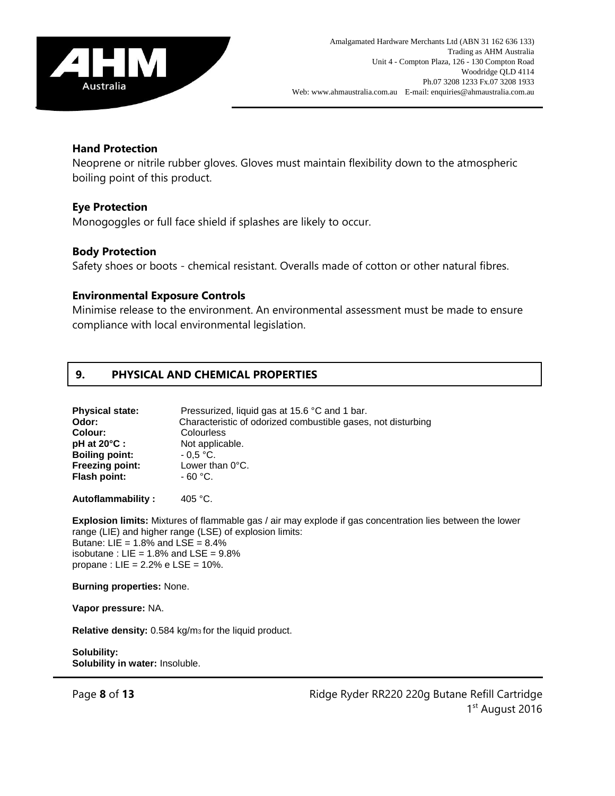

### **Hand Protection**

Neoprene or nitrile rubber gloves. Gloves must maintain flexibility down to the atmospheric boiling point of this product.

### **Eye Protection**

Monogoggles or full face shield if splashes are likely to occur.

### **Body Protection**

Safety shoes or boots - chemical resistant. Overalls made of cotton or other natural fibres.

### **Environmental Exposure Controls**

Minimise release to the environment. An environmental assessment must be made to ensure compliance with local environmental legislation.

### **9. PHYSICAL AND CHEMICAL PROPERTIES**

| Pressurized, liquid gas at 15.6 °C and 1 bar.                |
|--------------------------------------------------------------|
| Characteristic of odorized combustible gases, not disturbing |
| Colourless                                                   |
| Not applicable.                                              |
| $-0.5 °C$ .                                                  |
| Lower than $0^{\circ}$ C.                                    |
| $-60 °C$ .                                                   |
|                                                              |

Autoflammability : 405 °C.

**Explosion limits:** Mixtures of flammable gas / air may explode if gas concentration lies between the lower range (LIE) and higher range (LSE) of explosion limits: Butane:  $LIE = 1.8\%$  and  $LSE = 8.4\%$ isobutane :  $LIE = 1.8\%$  and  $LSE = 9.8\%$ propane :  $LIE = 2.2% e LSE = 10%.$ 

**Burning properties:** None.

**Vapor pressure:** NA.

**Relative density:** 0.584 kg/m3 for the liquid product.

**Solubility: Solubility in water:** Insoluble.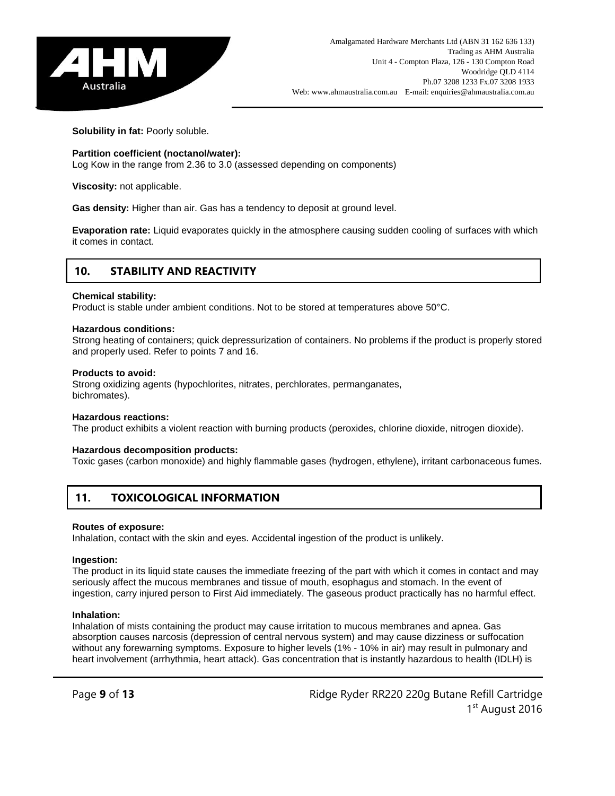

**Solubility in fat:** Poorly soluble.

#### **Partition coefficient (noctanol/water):**

Log Kow in the range from 2.36 to 3.0 (assessed depending on components)

**Viscosity:** not applicable.

**Gas density:** Higher than air. Gas has a tendency to deposit at ground level.

**Evaporation rate:** Liquid evaporates quickly in the atmosphere causing sudden cooling of surfaces with which it comes in contact.

### **10. STABILITY AND REACTIVITY**

#### **Chemical stability:**

Product is stable under ambient conditions. Not to be stored at temperatures above 50°C.

#### **Hazardous conditions:**

Strong heating of containers; quick depressurization of containers. No problems if the product is properly stored and properly used. Refer to points 7 and 16.

#### **Products to avoid:**

Strong oxidizing agents (hypochlorites, nitrates, perchlorates, permanganates, bichromates).

#### **Hazardous reactions:**

The product exhibits a violent reaction with burning products (peroxides, chlorine dioxide, nitrogen dioxide).

#### **Hazardous decomposition products:**

Toxic gases (carbon monoxide) and highly flammable gases (hydrogen, ethylene), irritant carbonaceous fumes.

### **11. TOXICOLOGICAL INFORMATION**

#### **Routes of exposure:**

Inhalation, contact with the skin and eyes. Accidental ingestion of the product is unlikely.

#### **Ingestion:**

The product in its liquid state causes the immediate freezing of the part with which it comes in contact and may seriously affect the mucous membranes and tissue of mouth, esophagus and stomach. In the event of ingestion, carry injured person to First Aid immediately. The gaseous product practically has no harmful effect.

#### **Inhalation:**

Inhalation of mists containing the product may cause irritation to mucous membranes and apnea. Gas absorption causes narcosis (depression of central nervous system) and may cause dizziness or suffocation without any forewarning symptoms. Exposure to higher levels (1% - 10% in air) may result in pulmonary and heart involvement (arrhythmia, heart attack). Gas concentration that is instantly hazardous to health (IDLH) is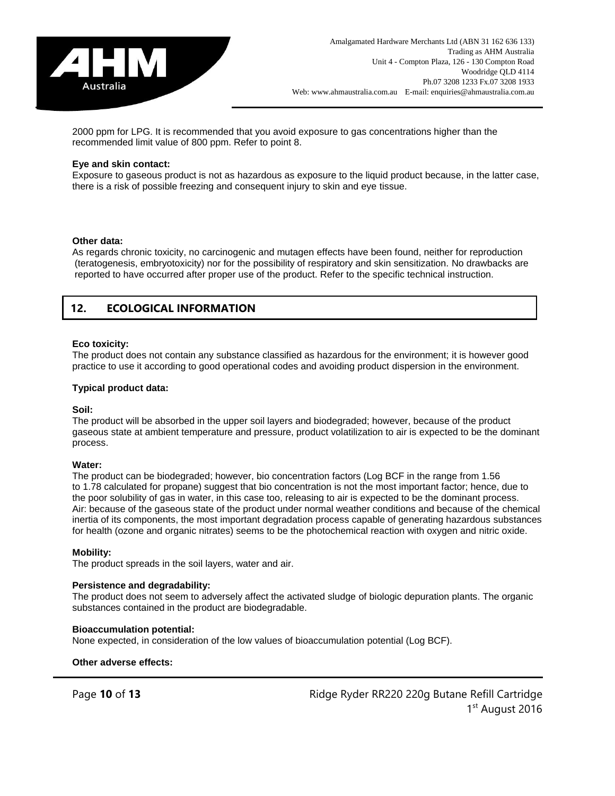

2000 ppm for LPG. It is recommended that you avoid exposure to gas concentrations higher than the recommended limit value of 800 ppm. Refer to point 8.

#### **Eye and skin contact:**

Exposure to gaseous product is not as hazardous as exposure to the liquid product because, in the latter case, there is a risk of possible freezing and consequent injury to skin and eye tissue.

#### **Other data:**

As regards chronic toxicity, no carcinogenic and mutagen effects have been found, neither for reproduction (teratogenesis, embryotoxicity) nor for the possibility of respiratory and skin sensitization. No drawbacks are reported to have occurred after proper use of the product. Refer to the specific technical instruction.

### **12. ECOLOGICAL INFORMATION**

#### **Eco toxicity:**

The product does not contain any substance classified as hazardous for the environment; it is however good practice to use it according to good operational codes and avoiding product dispersion in the environment.

#### **Typical product data:**

#### **Soil:**

The product will be absorbed in the upper soil layers and biodegraded; however, because of the product gaseous state at ambient temperature and pressure, product volatilization to air is expected to be the dominant process.

#### **Water:**

The product can be biodegraded; however, bio concentration factors (Log BCF in the range from 1.56 to 1.78 calculated for propane) suggest that bio concentration is not the most important factor; hence, due to the poor solubility of gas in water, in this case too, releasing to air is expected to be the dominant process. Air: because of the gaseous state of the product under normal weather conditions and because of the chemical inertia of its components, the most important degradation process capable of generating hazardous substances for health (ozone and organic nitrates) seems to be the photochemical reaction with oxygen and nitric oxide.

#### **Mobility:**

The product spreads in the soil layers, water and air.

#### **Persistence and degradability:**

The product does not seem to adversely affect the activated sludge of biologic depuration plants. The organic substances contained in the product are biodegradable.

#### **Bioaccumulation potential:**

None expected, in consideration of the low values of bioaccumulation potential (Log BCF).

**Other adverse effects:**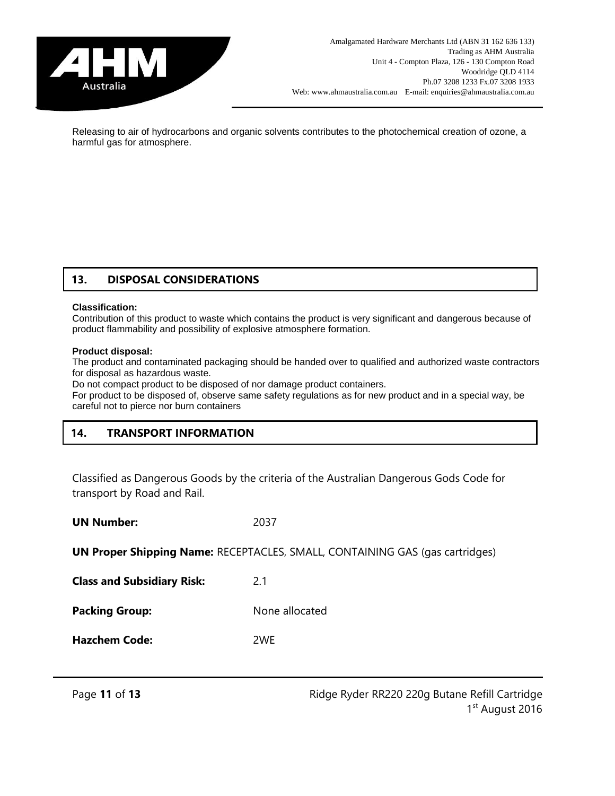

Releasing to air of hydrocarbons and organic solvents contributes to the photochemical creation of ozone, a harmful gas for atmosphere.

## **13. DISPOSAL CONSIDERATIONS**

#### **Classification:**

Contribution of this product to waste which contains the product is very significant and dangerous because of product flammability and possibility of explosive atmosphere formation.

#### **Product disposal:**

The product and contaminated packaging should be handed over to qualified and authorized waste contractors for disposal as hazardous waste.

Do not compact product to be disposed of nor damage product containers.

For product to be disposed of, observe same safety regulations as for new product and in a special way, be careful not to pierce nor burn containers

## **14. TRANSPORT INFORMATION**

Classified as Dangerous Goods by the criteria of the Australian Dangerous Gods Code for transport by Road and Rail.

| <b>UN Number:</b> | 2037 |
|-------------------|------|
|                   |      |

**UN Proper Shipping Name:** RECEPTACLES, SMALL, CONTAINING GAS (gas cartridges)

**Class and Subsidiary Risk:** 2.1

**Packing Group:** None allocated

**Hazchem Code:** 2WE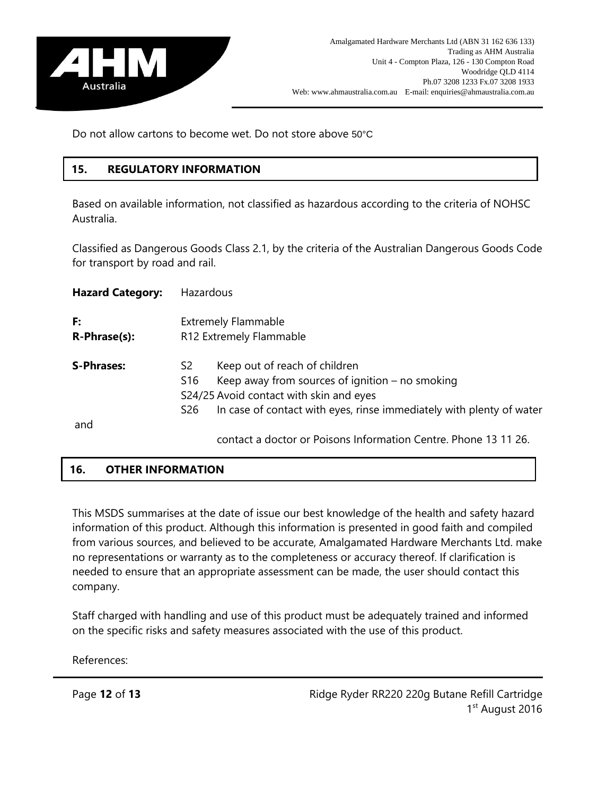

Do not allow cartons to become wet. Do not store above 50°C

# **15. REGULATORY INFORMATION**

Based on available information, not classified as hazardous according to the criteria of NOHSC Australia.

Classified as Dangerous Goods Class 2.1, by the criteria of the Australian Dangerous Goods Code for transport by road and rail.

| <b>Hazard Category:</b> | Hazardous                                             |                                                                                                                                                                                                       |
|-------------------------|-------------------------------------------------------|-------------------------------------------------------------------------------------------------------------------------------------------------------------------------------------------------------|
| F:<br>R-Phrase(s):      | <b>Extremely Flammable</b><br>R12 Extremely Flammable |                                                                                                                                                                                                       |
| <b>S-Phrases:</b>       | S2<br>S <sub>16</sub><br>S <sub>26</sub>              | Keep out of reach of children<br>Keep away from sources of ignition $-$ no smoking<br>S24/25 Avoid contact with skin and eyes<br>In case of contact with eyes, rinse immediately with plenty of water |
| and                     |                                                       | contact a doctor or Poisons Information Centre. Phone 13 11 26.                                                                                                                                       |

# **16. OTHER INFORMATION**

This MSDS summarises at the date of issue our best knowledge of the health and safety hazard information of this product. Although this information is presented in good faith and compiled from various sources, and believed to be accurate, Amalgamated Hardware Merchants Ltd. make no representations or warranty as to the completeness or accuracy thereof. If clarification is needed to ensure that an appropriate assessment can be made, the user should contact this company.

Staff charged with handling and use of this product must be adequately trained and informed on the specific risks and safety measures associated with the use of this product.

References: